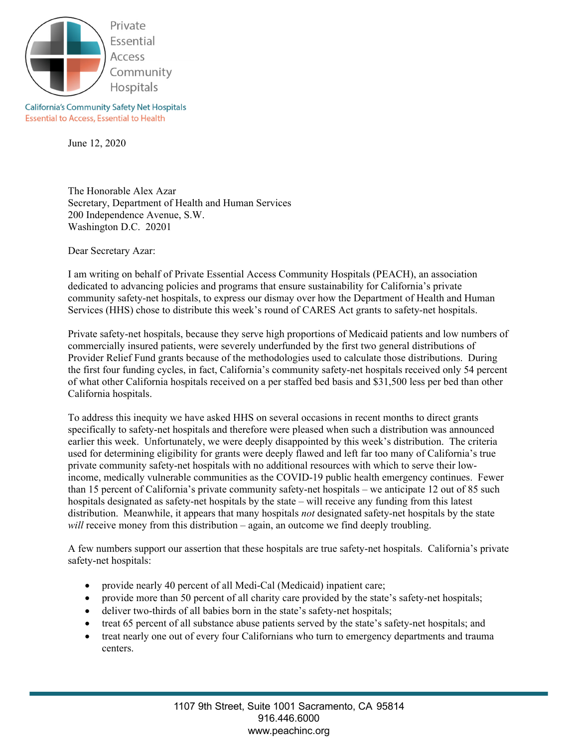

**California's Community Safety Net Hospitals Essential to Access, Essential to Health** 

June 12, 2020

The Honorable Alex Azar Secretary, Department of Health and Human Services 200 Independence Avenue, S.W. Washington D.C. 20201

Dear Secretary Azar:

I am writing on behalf of Private Essential Access Community Hospitals (PEACH), an association dedicated to advancing policies and programs that ensure sustainability for California's private community safety-net hospitals, to express our dismay over how the Department of Health and Human Services (HHS) chose to distribute this week's round of CARES Act grants to safety-net hospitals.

Private safety-net hospitals, because they serve high proportions of Medicaid patients and low numbers of commercially insured patients, were severely underfunded by the first two general distributions of Provider Relief Fund grants because of the methodologies used to calculate those distributions. During the first four funding cycles, in fact, California's community safety-net hospitals received only 54 percent of what other California hospitals received on a per staffed bed basis and \$31,500 less per bed than other California hospitals.

To address this inequity we have asked HHS on several occasions in recent months to direct grants specifically to safety-net hospitals and therefore were pleased when such a distribution was announced earlier this week. Unfortunately, we were deeply disappointed by this week's distribution. The criteria used for determining eligibility for grants were deeply flawed and left far too many of California's true private community safety-net hospitals with no additional resources with which to serve their lowincome, medically vulnerable communities as the COVID-19 public health emergency continues. Fewer than 15 percent of California's private community safety-net hospitals – we anticipate 12 out of 85 such hospitals designated as safety-net hospitals by the state – will receive any funding from this latest distribution. Meanwhile, it appears that many hospitals *not* designated safety-net hospitals by the state *will* receive money from this distribution – again, an outcome we find deeply troubling.

A few numbers support our assertion that these hospitals are true safety-net hospitals. California's private safety-net hospitals:

- provide nearly 40 percent of all Medi-Cal (Medicaid) inpatient care;
- provide more than 50 percent of all charity care provided by the state's safety-net hospitals;
- deliver two-thirds of all babies born in the state's safety-net hospitals;
- treat 65 percent of all substance abuse patients served by the state's safety-net hospitals; and
- treat nearly one out of every four Californians who turn to emergency departments and trauma centers.